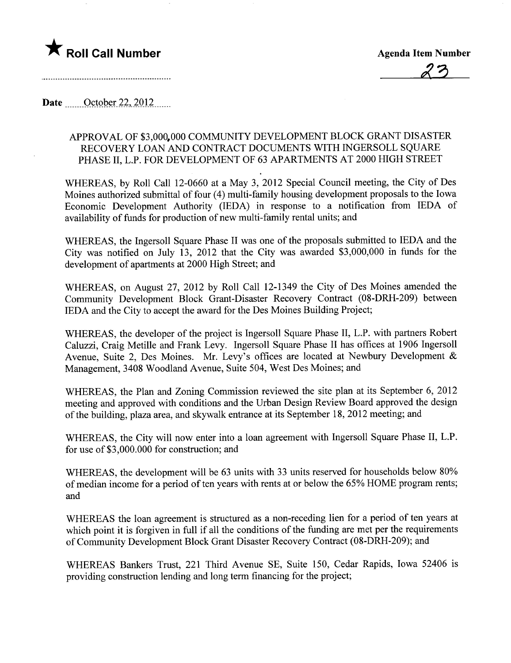## \* Roll Call Number Agenda Item Number

æ?J

Date  $\qquad$  October 22, 2012

## APPROV AL OF \$3,000,000 COMMUNITY DEVELOPMENT BLOCK GRANT DISASTER RECOVERY LOAN AND CONTRACT DOCUMENTS WITH INGERSOLL SQUARE PHASE II, L.P. FOR DEVELOPMENT OF 63 APARTMENTS AT 2000 HIGH STREET

WHEREAS, by Roll Call 12-0660 at a May 3, 2012 Special Council meeting, the City of Des Moines authorized submittal of four (4) multi-family housing development proposals to the Iowa Economic Development Authority (IEDA) in response to a notification from IEDA of availability of funds for production of new multi-family rental units; and

WHEREAS, the Ingersoll Square Phase II was one of the proposals submitted to IEDA and the City was notified on July 13, 2012 that the City was awarded \$3,000,000 in funds for the development of apartments at 2000 High Street; and

WHEREAS, on August 27, 2012 by Roll Call 12-1349 the City of Des Moines amended the Community Development Block Grant-Disaster Recovery Contract (08-DRH-209) between IEDA and the City to accept the award for the Des Moines Building Project;

WHEREAS, the developer of the project is Ingersoll Square Phase II, L.P. with partners Robert Caluzzi, Craig Metille and Frank Levy. Ingersoll Square Phase II has offices at 1906 Ingersoll Avenue, Suite 2, Des Moines. Mr. Levy's offices are located at Newbury Development & Management, 3408 Woodland Avenue, Suite 504, West Des Moines; and

WHEREAS, the Plan and Zoning Commission reviewed the site plan at its September 6, 2012 meeting and approved with conditions and the Urban Design Review Board approved the design of the building, plaza area, and skywalk entrance at its September 18, 2012 meeting; and

WHEREAS, the City will now enter into a loan agreement with Ingersoll Square Phase II, L.P. for use of \$3,000.000 for construction; and

WHEREAS, the development will be 63 units with 33 units reserved for households below 80% of median income for a period of ten years with rents at or below the 65% HOME program rents; and

WHEREAS the loan agreement is structured as a non-receding lien for a period of ten years at which point it is forgiven in full if all the conditions of the funding are met per the requirements of Community Development Block Grant Disaster Recovery Contract (08-DRH-209); and

WHEREAS Bankers Trust, 221 Third Avenue SE, Suite 150, Cedar Rapids, Iowa 52406 is providing construction lending and long term financing for the project;